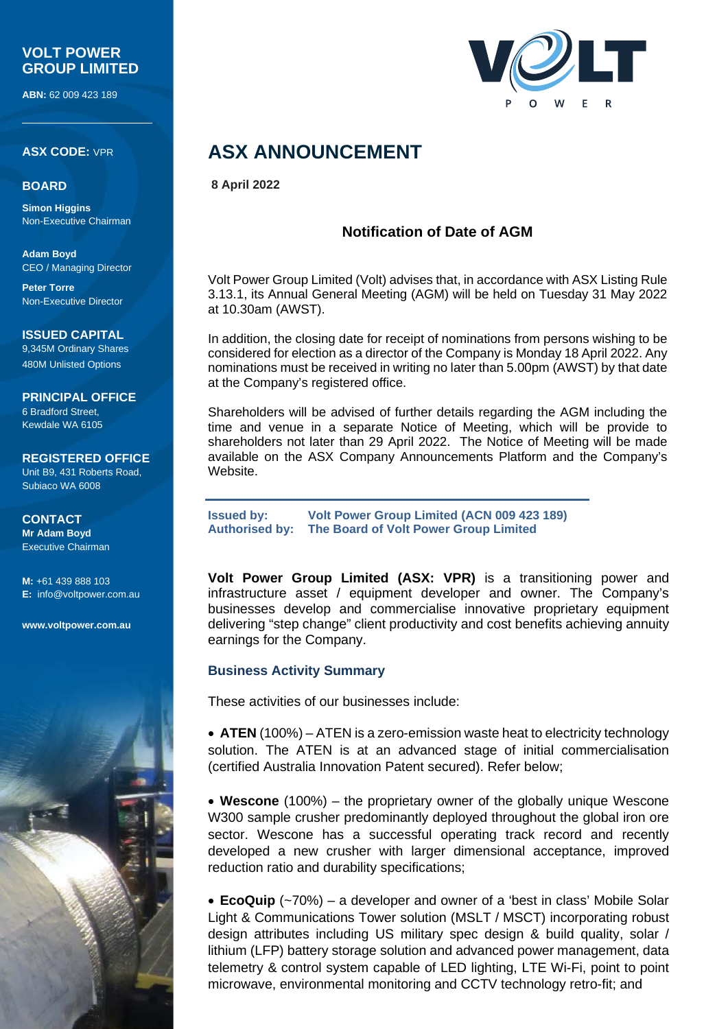## **VOLT POWER GROUP LIMITED**

**ABN:** 62 009 423 189

**ASX CODE:** VPR

#### **BOARD**

**Simon Higgins** Non-Executive Chairman

**Adam Boyd** CEO / Managing Director

**Peter Torre** Non-Executive Director

#### **ISSUED CAPITAL**

9,345M Ordinary Shares 480M Unlisted Options

**PRINCIPAL OFFICE** 6 Bradford Street, Kewdale WA 6105

## **REGISTERED OFFICE** Unit B9, 431 Roberts Road,

Subiaco WA 6008

#### **CONTACT Mr Adam Boyd** Executive Chairman

**M:** +61 439 888 103 **E:** [info@voltpower.com.au](mailto:info@voltpower.com.au)

**[www.voltpower.com.au](http://www.voltpower.com.au/)**





## **ASX ANNOUNCEMENT**

**8 April 2022**

## **Notification of Date of AGM**

Volt Power Group Limited (Volt) advises that, in accordance with ASX Listing Rule 3.13.1, its Annual General Meeting (AGM) will be held on Tuesday 31 May 2022 at 10.30am (AWST).

In addition, the closing date for receipt of nominations from persons wishing to be considered for election as a director of the Company is Monday 18 April 2022. Any nominations must be received in writing no later than 5.00pm (AWST) by that date at the Company's registered office.

Shareholders will be advised of further details regarding the AGM including the time and venue in a separate Notice of Meeting, which will be provide to shareholders not later than 29 April 2022. The Notice of Meeting will be made available on the ASX Company Announcements Platform and the Company's Website.

**Issued by: Volt Power Group Limited (ACN 009 423 189) Authorised by: The Board of Volt Power Group Limited**

**Volt Power Group Limited (ASX: VPR)** is a transitioning power and infrastructure asset / equipment developer and owner. The Company's businesses develop and commercialise innovative proprietary equipment delivering "step change" client productivity and cost benefits achieving annuity earnings for the Company.

### **Business Activity Summary**

These activities of our businesses include:

• **ATEN** (100%) – ATEN is a zero-emission waste heat to electricity technology solution. The ATEN is at an advanced stage of initial commercialisation (certified Australia Innovation Patent secured). Refer below;

• **Wescone** (100%) – the proprietary owner of the globally unique Wescone W300 sample crusher predominantly deployed throughout the global iron ore sector. Wescone has a successful operating track record and recently developed a new crusher with larger dimensional acceptance, improved reduction ratio and durability specifications;

• **EcoQuip** (~70%) – a developer and owner of a 'best in class' Mobile Solar Light & Communications Tower solution (MSLT / MSCT) incorporating robust design attributes including US military spec design & build quality, solar / lithium (LFP) battery storage solution and advanced power management, data telemetry & control system capable of LED lighting, LTE Wi-Fi, point to point microwave, environmental monitoring and CCTV technology retro-fit; and